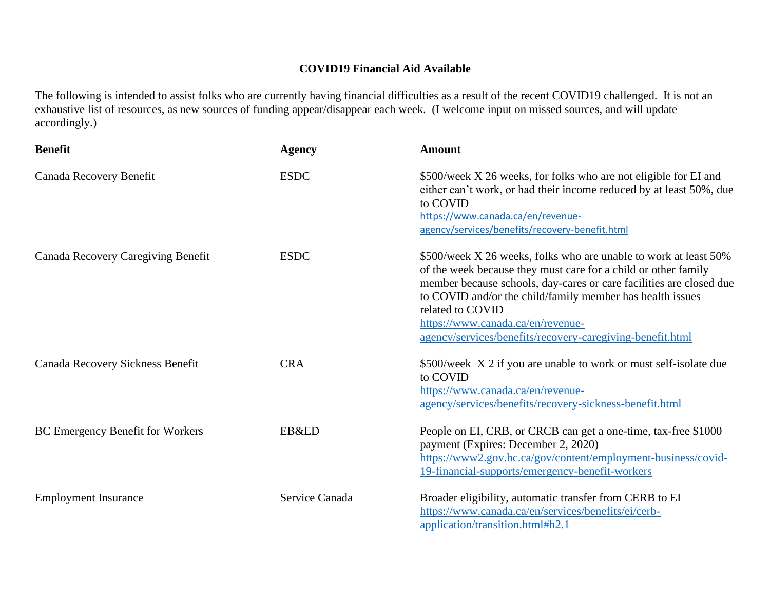## **COVID19 Financial Aid Available**

The following is intended to assist folks who are currently having financial difficulties as a result of the recent COVID19 challenged. It is not an exhaustive list of resources, as new sources of funding appear/disappear each week. (I welcome input on missed sources, and will update accordingly.)

| <b>Benefit</b>                            | <b>Agency</b>  | <b>Amount</b>                                                                                                                                                                                                                                                                                                                                                                                |
|-------------------------------------------|----------------|----------------------------------------------------------------------------------------------------------------------------------------------------------------------------------------------------------------------------------------------------------------------------------------------------------------------------------------------------------------------------------------------|
| Canada Recovery Benefit                   | <b>ESDC</b>    | \$500/week X 26 weeks, for folks who are not eligible for EI and<br>either can't work, or had their income reduced by at least 50%, due<br>to COVID<br>https://www.canada.ca/en/revenue-<br>agency/services/benefits/recovery-benefit.html                                                                                                                                                   |
| <b>Canada Recovery Caregiving Benefit</b> | <b>ESDC</b>    | \$500/week X 26 weeks, folks who are unable to work at least 50%<br>of the week because they must care for a child or other family<br>member because schools, day-cares or care facilities are closed due<br>to COVID and/or the child/family member has health issues<br>related to COVID<br>https://www.canada.ca/en/revenue-<br>agency/services/benefits/recovery-caregiving-benefit.html |
| Canada Recovery Sickness Benefit          | <b>CRA</b>     | \$500/week X 2 if you are unable to work or must self-isolate due<br>to COVID<br>https://www.canada.ca/en/revenue-<br>agency/services/benefits/recovery-sickness-benefit.html                                                                                                                                                                                                                |
| BC Emergency Benefit for Workers          | EB&ED          | People on EI, CRB, or CRCB can get a one-time, tax-free \$1000<br>payment (Expires: December 2, 2020)<br>https://www2.gov.bc.ca/gov/content/employment-business/covid-<br>19-financial-supports/emergency-benefit-workers                                                                                                                                                                    |
| <b>Employment Insurance</b>               | Service Canada | Broader eligibility, automatic transfer from CERB to EI<br>https://www.canada.ca/en/services/benefits/ei/cerb-<br>application/transition.html#h2.1                                                                                                                                                                                                                                           |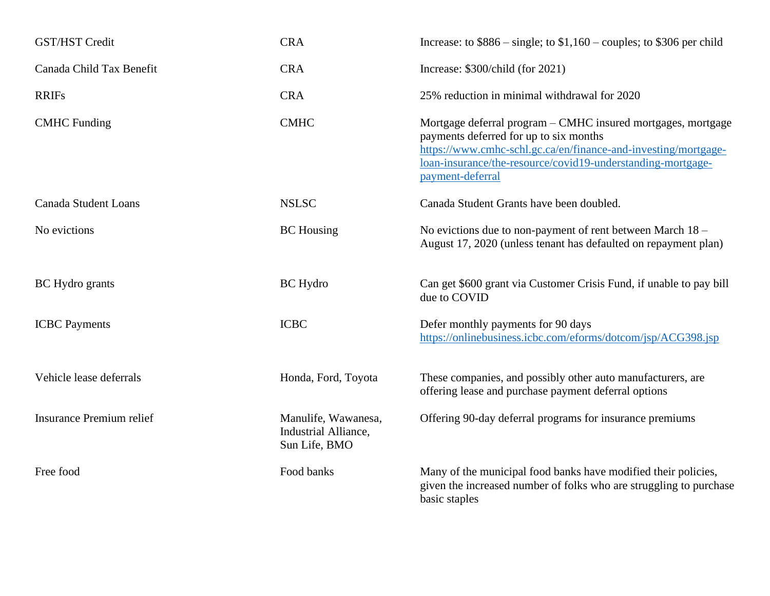| <b>GST/HST Credit</b>           | <b>CRA</b>                                                   | Increase: to $$886$ – single; to $$1,160$ – couples; to \$306 per child                                                                                                                                                                                     |
|---------------------------------|--------------------------------------------------------------|-------------------------------------------------------------------------------------------------------------------------------------------------------------------------------------------------------------------------------------------------------------|
| Canada Child Tax Benefit        | <b>CRA</b>                                                   | Increase: \$300/child (for 2021)                                                                                                                                                                                                                            |
| <b>RRIFs</b>                    | <b>CRA</b>                                                   | 25% reduction in minimal withdrawal for 2020                                                                                                                                                                                                                |
| <b>CMHC</b> Funding             | <b>CMHC</b>                                                  | Mortgage deferral program – CMHC insured mortgages, mortgage<br>payments deferred for up to six months<br>https://www.cmhc-schl.gc.ca/en/finance-and-investing/mortgage-<br>loan-insurance/the-resource/covid19-understanding-mortgage-<br>payment-deferral |
| <b>Canada Student Loans</b>     | <b>NSLSC</b>                                                 | Canada Student Grants have been doubled.                                                                                                                                                                                                                    |
| No evictions                    | <b>BC</b> Housing                                            | No evictions due to non-payment of rent between March $18 -$<br>August 17, 2020 (unless tenant has defaulted on repayment plan)                                                                                                                             |
| BC Hydro grants                 | <b>BC</b> Hydro                                              | Can get \$600 grant via Customer Crisis Fund, if unable to pay bill<br>due to COVID                                                                                                                                                                         |
| <b>ICBC</b> Payments            | <b>ICBC</b>                                                  | Defer monthly payments for 90 days<br>https://onlinebusiness.icbc.com/eforms/dotcom/jsp/ACG398.jsp                                                                                                                                                          |
| Vehicle lease deferrals         | Honda, Ford, Toyota                                          | These companies, and possibly other auto manufacturers, are<br>offering lease and purchase payment deferral options                                                                                                                                         |
| <b>Insurance Premium relief</b> | Manulife, Wawanesa,<br>Industrial Alliance,<br>Sun Life, BMO | Offering 90-day deferral programs for insurance premiums                                                                                                                                                                                                    |
| Free food                       | Food banks                                                   | Many of the municipal food banks have modified their policies,<br>given the increased number of folks who are struggling to purchase<br>basic staples                                                                                                       |